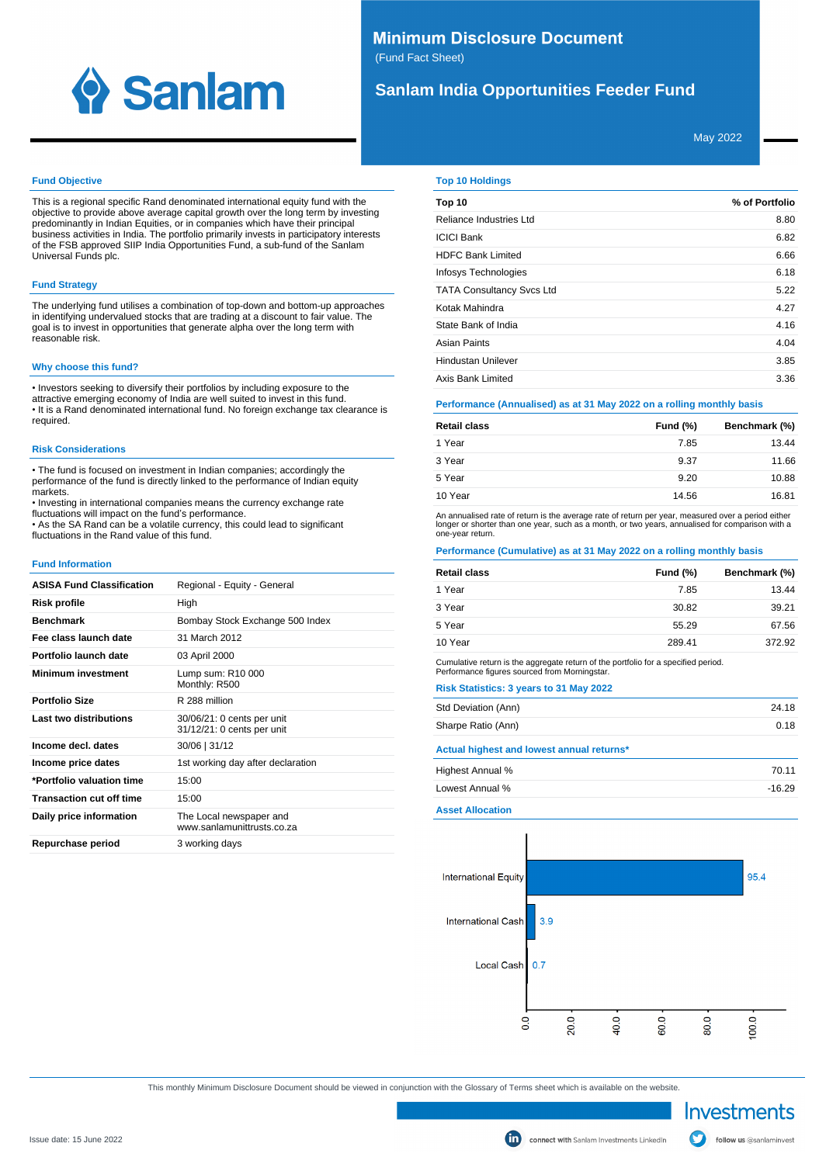

# **Minimum Disclosure Document** (Fund Fact Sheet)

# **Sanlam India Opportunities Feeder Fund**

May 2022

### **Fund Objective**

This is a regional specific Rand denominated international equity fund with the objective to provide above average capital growth over the long term by investing predominantly in Indian Equities, or in companies which have their principal business activities in India. The portfolio primarily invests in participatory interests of the FSB approved SIIP India Opportunities Fund, a sub-fund of the Sanlam Universal Funds plc.

# **Fund Strategy**

The underlying fund utilises a combination of top-down and bottom-up approaches in identifying undervalued stocks that are trading at a discount to fair value. The goal is to invest in opportunities that generate alpha over the long term with reasonable risk.

#### **Why choose this fund?**

• Investors seeking to diversify their portfolios by including exposure to the attractive emerging economy of India are well suited to invest in this fund. • It is a Rand denominated international fund. No foreign exchange tax clearance is required.

## **Risk Considerations**

• The fund is focused on investment in Indian companies; accordingly the performance of the fund is directly linked to the performance of Indian equity markets.

• Investing in international companies means the currency exchange rate fluctuations will impact on the fund's performance.

• As the SA Rand can be a volatile currency, this could lead to significant fluctuations in the Rand value of this fund.

### **Fund Information**

| <b>ASISA Fund Classification</b> | Regional - Equity - General                              |
|----------------------------------|----------------------------------------------------------|
| Risk profile                     | High                                                     |
| <b>Benchmark</b>                 | Bombay Stock Exchange 500 Index                          |
| Fee class launch date            | 31 March 2012                                            |
| Portfolio launch date            | 03 April 2000                                            |
| <b>Minimum investment</b>        | Lump sum: R10 000<br>Monthly: R500                       |
| <b>Portfolio Size</b>            | R 288 million                                            |
| Last two distributions           | 30/06/21: 0 cents per unit<br>31/12/21: 0 cents per unit |
| Income decl. dates               | 30/06   31/12                                            |
| Income price dates               | 1st working day after declaration                        |
| *Portfolio valuation time        | 15:00                                                    |
| <b>Transaction cut off time</b>  | 15:00                                                    |
| Daily price information          | The Local newspaper and<br>www.sanlamunittrusts.co.za    |
| Repurchase period                | 3 working days                                           |
|                                  |                                                          |

### **Top 10 Holdings**

| Top 10                           | % of Portfolio |
|----------------------------------|----------------|
| Reliance Industries Ltd          | 8.80           |
| <b>ICICI Bank</b>                | 6.82           |
| <b>HDFC Bank Limited</b>         | 6.66           |
| Infosys Technologies             | 6.18           |
| <b>TATA Consultancy Svcs Ltd</b> | 5.22           |
| Kotak Mahindra                   | 4.27           |
| State Bank of India              | 4.16           |
| Asian Paints                     | 4.04           |
| <b>Hindustan Unilever</b>        | 3.85           |
| Axis Bank Limited                | 3.36           |

# **Performance (Annualised) as at 31 May 2022 on a rolling monthly basis**

| <b>Retail class</b> | <b>Fund (%)</b> | Benchmark (%) |
|---------------------|-----------------|---------------|
| 1 Year              | 7.85            | 13.44         |
| 3 Year              | 9.37            | 11.66         |
| 5 Year              | 9.20            | 10.88         |
| 10 Year             | 14.56           | 16.81         |

An annualised rate of return is the average rate of return per year, measured over a period either<br>longer or shorter than one year, such as a month, or two years, annualised for comparison with a one-year return.

# **Performance (Cumulative) as at 31 May 2022 on a rolling monthly basis**

| <b>Retail class</b> | Fund $(\%)$ | Benchmark (%) |
|---------------------|-------------|---------------|
| 1 Year              | 7.85        | 13.44         |
| 3 Year              | 30.82       | 39.21         |
| 5 Year              | 55.29       | 67.56         |
| 10 Year             | 289.41      | 372.92        |

Cumulative return is the aggregate return of the portfolio for a specified period. Performance figures sourced from Morningstar.

| Std Deviation (Ann)                       | 24.18 |
|-------------------------------------------|-------|
| Sharpe Ratio (Ann)                        | 0.18  |
| Actual highest and lowest annual returns* |       |
|                                           |       |
| Highest Annual %                          | 70.11 |

**Asset Allocation**



This monthly Minimum Disclosure Document should be viewed in conjunction with the Glossary of Terms sheet which is available on the website.

Investments

follow us @sanlaminvest